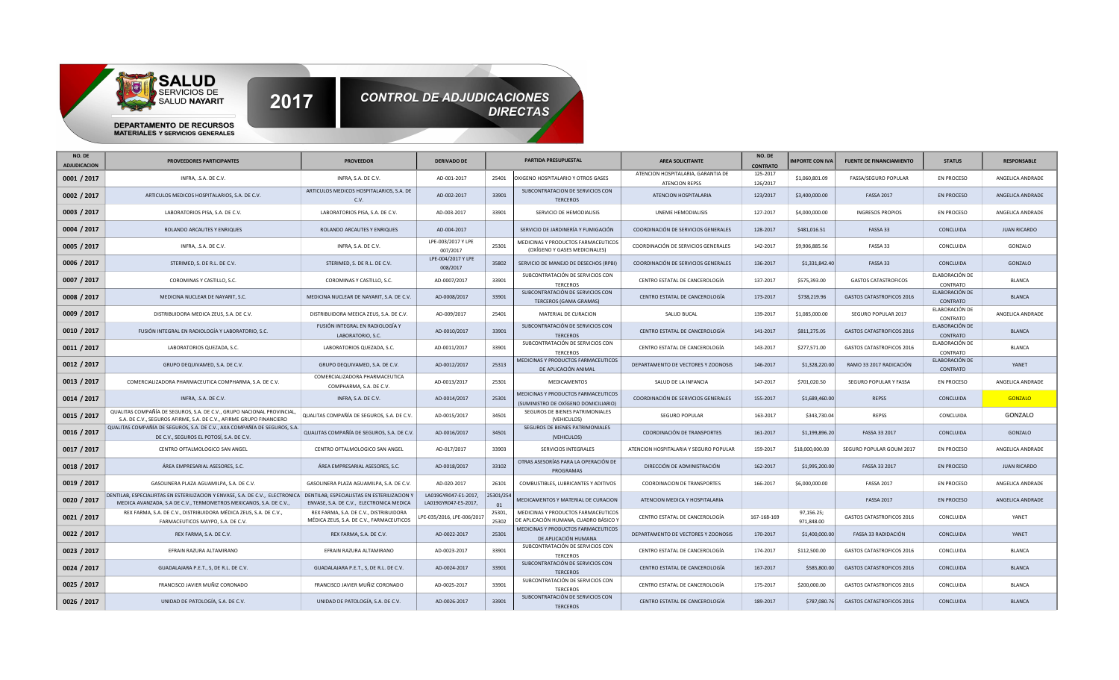

| NO. DE<br><b>ADJUDICACION</b> | PROVEEDORES PARTICIPANTES                                                                                                                                                                       | <b>PROVEEDOR</b>                                                                   | <b>DERIVADO DE</b>                           |                 | PARTIDA PRESUPUESTAL                                                         | <b>AREA SOLICITANTE</b>                                     | NO. DI<br><b>CONTRATO</b> | <b>IMPORTE CON IVA</b>   | <b>FUENTE DE FINANCIAMIENTO</b>  | <b>STATUS</b>              | <b>RESPONSABLE</b>  |
|-------------------------------|-------------------------------------------------------------------------------------------------------------------------------------------------------------------------------------------------|------------------------------------------------------------------------------------|----------------------------------------------|-----------------|------------------------------------------------------------------------------|-------------------------------------------------------------|---------------------------|--------------------------|----------------------------------|----------------------------|---------------------|
| 0001 / 2017                   | INFRA, .S.A. DE C.V.                                                                                                                                                                            | INFRA, S.A. DE C.V.                                                                | AD-001-2017                                  | 25401           | OXIGENO HOSPITALARIO Y OTROS GASES                                           | ATENCION HOSPITALARIA, GARANTIA DE<br><b>ATENCION REPSS</b> | 125-2017<br>126/2017      | \$1,060,801.09           | <b>FASSA/SEGURO POPULAR</b>      | <b>EN PROCESO</b>          | ANGELICA ANDRADE    |
| 0002 / 2017                   | ARTICULOS MEDICOS HOSPITALARIOS, S.A. DE C.V.                                                                                                                                                   | ARTICULOS MEDICOS HOSPITALARIOS, S.A. DE<br>C.V.                                   | AD-002-2017                                  | 33901           | SUBCONTRATACION DE SERVICIOS CON<br><b>TERCEROS</b>                          | ATENCION HOSPITALARIA                                       | 123/2017                  | \$3,400,000.00           | <b>FASSA 2017</b>                | <b>EN PROCESO</b>          | ANGELICA ANDRADE    |
| 0003 / 2017                   | LABORATORIOS PISA, S.A. DE C.V.                                                                                                                                                                 | LABORATORIOS PISA, S.A. DE C.V.                                                    | AD-003-2017                                  | 33901           | SERVICIO DE HEMODIALISIS                                                     | UNEME HEMODIALISIS                                          | 127-2017                  | \$4,000,000.00           | <b>INGRESOS PROPIOS</b>          | <b>EN PROCESO</b>          | ANGELICA ANDRADE    |
| 0004 / 2017                   | ROLANDO ARCAUTES Y ENRIQUES                                                                                                                                                                     | ROLANDO ARCAUTES Y ENRIQUES                                                        | AD-004-2017                                  |                 | SERVICIO DE JARDINERÍA Y FUMIGACIÓN                                          | COORDINACIÓN DE SERVICIOS GENERALES                         | 128-2017                  | \$481,016.51             | FASSA 33                         | CONCLUIDA                  | <b>JUAN RICARDO</b> |
| 0005 / 2017                   | INFRA, .S.A. DE C.V.                                                                                                                                                                            | INFRA, S.A. DE C.V.                                                                | LPE-003/2017 Y LPE<br>007/2017               | 25301           | MEDICINAS Y PRODUCTOS FARMACEUTICOS<br>(OXÍGENO Y GASES MEDICINALES)         | COORDINACIÓN DE SERVICIOS GENERALES                         | 142-2017                  | \$9,906,885.56           | FASSA 33                         | CONCLUIDA                  | GONZALO             |
| 0006 / 2017                   | STERIMED, S. DE R.L. DE C.V.                                                                                                                                                                    | STERIMED, S. DE R.L. DE C.V.                                                       | LPE-004/2017 Y LPE<br>008/2017               | 35802           | SERVICIO DE MANEJO DE DESECHOS (RPBI)                                        | COORDINACIÓN DE SERVICIOS GENERALES                         | 136-2017                  | \$1,331,842.40           | FASSA 33                         | CONCLUIDA                  | GONZALO             |
| 0007 / 2017                   | COROMINAS Y CASTILLO, S.C.                                                                                                                                                                      | COROMINAS Y CASTILLO, S.C.                                                         | AD-0007/2017                                 | 33901           | SUBCONTRATACIÓN DE SERVICIOS CON<br><b>TERCEROS</b>                          | CENTRO ESTATAL DE CANCEROLOGÍA                              | 137-2017                  | \$575,393.00             | <b>GASTOS CATASTROFICOS</b>      | ELABORACIÓN DE<br>CONTRATO | <b>BLANCA</b>       |
| 0008 / 2017                   | MEDICINA NUCLEAR DE NAYARIT, S.C.                                                                                                                                                               | MEDICINA NUCLEAR DE NAYARIT, S.A. DE C.V.                                          | AD-0008/2017                                 | 33901           | SUBCONTRATACIÓN DE SERVICIOS CON<br>TERCEROS (GAMA GRAMAS)                   | CENTRO ESTATAL DE CANCEROLOGÍA                              | 173-2017                  | \$738,219.96             | GASTOS CATASTROFICOS 2016        | ELABORACIÓN DE<br>CONTRATO | <b>BLANCA</b>       |
| 0009 / 2017                   | DISTRIBUIDORA MEDICA ZEUS, S.A. DE C.V.                                                                                                                                                         | DISTRIBUIDORA MEEICA ZEUS, S.A. DE C.V.                                            | AD-009/2017                                  | 25401           | MATERIAL DE CURACION                                                         | SALUD BUCAL                                                 | 139-2017                  | \$1,085,000.00           | SEGURO POPULAR 2017              | ELABORACIÓN DE<br>CONTRATO | ANGELICA ANDRADE    |
| 0010 / 2017                   | FUSIÓN INTEGRAL EN RADIOLOGÍA Y LABORATORIO, S.C.                                                                                                                                               | FUSIÓN INTEGRAL EN RADIOLOGÍA Y<br>LABORATORIO, S.C.                               | AD-0010/2017                                 | 33901           | SUBCONTRATACIÓN DE SERVICIOS CON<br><b>TERCEROS</b>                          | CENTRO ESTATAL DE CANCEROLOGÍA                              | 141-2017                  | \$811,275.05             | <b>GASTOS CATASTROFICOS 2016</b> | ELABORACIÓN DE<br>CONTRATO | <b>BLANCA</b>       |
| 0011 / 2017                   | LABORATORIOS QUEZADA, S.C.                                                                                                                                                                      | LABORATORIOS QUEZADA, S.C.                                                         | AD-0011/2017                                 | 33901           | SUBCONTRATACIÓN DE SERVICIOS CON<br><b>TERCEROS</b>                          | CENTRO ESTATAL DE CANCEROLOGÍA                              | 143-2017                  | \$277,571.00             | GASTOS CATASTROFICOS 2016        | ELABORACIÓN DE<br>CONTRATO | <b>BLANCA</b>       |
| 0012 / 2017                   | GRUPO DEQUIVAMED, S.A. DE C.V.                                                                                                                                                                  | GRUPO DEQUIVAMED, S.A. DE C.V.                                                     | AD-0012/2017                                 | 25313           | MEDICINAS Y PRODUCTOS FARMACEUTICOS<br>DE APLICACIÓN ANIMAL                  | DEPARTAMENTO DE VECTORES Y ZOONOSIS                         | 146-2017                  | \$1,328,220.00           | RAMO 33 2017 RADICACIÓN          | ELABORACIÓN DE<br>CONTRATO | YANET               |
| 0013 / 2017                   | COMERCIALIZADORA PHARMACEUTICA COMPHARMA, S.A. DE C.V.                                                                                                                                          | COMERCIALIZADORA PHARMACEUTICA<br>COMPHARMA, S.A. DE C.V.                          | AD-0013/2017                                 | 25301           | <b>MEDICAMENTOS</b>                                                          | SALUD DE LA INFANCIA                                        | 147-2017                  | \$701,020.50             | SEGURO POPULAR Y FASSA           | <b>EN PROCESO</b>          | ANGELICA ANDRADE    |
| 0014 / 2017                   | INFRA, .S.A. DE C.V.                                                                                                                                                                            | INFRA, S.A. DE C.V.                                                                | AD-0014/2017                                 | 25301           | MEDICINAS Y PRODUCTOS FARMACEUTICOS<br>(SUMINISTRO DE OXÍGENO DOMICILIARIO)  | COORDINACIÓN DE SERVICIOS GENERALES                         | 155-2017                  | \$1,689,460.00           | <b>REPSS</b>                     | CONCLUIDA                  | <b>GONZALO</b>      |
| 0015 / 2017                   | QUALITAS COMPAÑÍA DE SEGUROS, S.A. DE C.V., GRUPO NACIONAL PROVINCIAL,<br>S.A. DE C.V., SEGUROS AFIRME, S.A. DE C.V., AFIRME GRUPO FINANCIERO                                                   | QUALITAS COMPAÑÍA DE SEGUROS, S.A. DE C.V.                                         | AD-0015/2017                                 | 34501           | SEGUROS DE BIENES PATRIMONIALES<br>(VEHICULOS)                               | SEGURO POPULAR                                              | 163-2017                  | \$343,730.04             | <b>REPSS</b>                     | CONCLUIDA                  | GONZALO             |
| 0016 / 2017                   | QUALITAS COMPAÑÍA DE SEGUROS, S.A. DE C.V., AXA COMPAÑÍA DE SEGUROS, S.A.<br>DE C.V., SEGUROS EL POTOSÍ, S.A. DE C.V.                                                                           | QUALITAS COMPAÑÍA DE SEGUROS, S.A. DE C.V.                                         | AD-0016/2017                                 | 34501           | SEGUROS DE BIENES PATRIMONIALES<br>(VEHICULOS)                               | COORDINACIÓN DE TRANSPORTES                                 | 161-2017                  | \$1,199,896.20           | FASSA 33 2017                    | CONCLUIDA                  | GONZALO             |
| 0017 / 2017                   | CENTRO OFTALMOLOGICO SAN ANGEL                                                                                                                                                                  | CENTRO OFTALMOLOGICO SAN ANGEL                                                     | AD-017/2017                                  | 33903           | SERVICIOS INTEGRALES                                                         | ATENCION HOSPITALARIA Y SEGURO POPULAR                      | 159-2017                  | \$18,000,000.00          | SEGURO POPULAR GOUM 2017         | <b>EN PROCESO</b>          | ANGELICA ANDRADE    |
| 0018 / 2017                   | ÁREA EMPRESARIAL ASESORES, S.C.                                                                                                                                                                 | ÁREA EMPRESARIAL ASESORES, S.C.                                                    | AD-0018/2017                                 | 33102           | OTRAS ASESORÍAS PARA LA OPERACIÓN DE<br>PROGRAMAS                            | DIRECCIÓN DE ADMINISTRACIÓN                                 | 162-2017                  | \$1,995,200.00           | FASSA 33 2017                    | <b>EN PROCESO</b>          | <b>JUAN RICARDO</b> |
| 0019 / 2017                   | GASOLINERA PLAZA AGUAMILPA, S.A. DE C.V.                                                                                                                                                        | GASOLINERA PLAZA AGUAMILPA, S.A. DE C.V.                                           | AD-020-2017                                  | 26101           | COMBUSTIBLES, LUBRICANTES Y ADITIVOS                                         | <b>COORDINACION DE TRANSPORTES</b>                          | 166-2017                  | \$6,000,000.00           | <b>FASSA 2017</b>                | <b>EN PROCESO</b>          | ANGELICA ANDRADE    |
| 0020 / 2017                   | DENTILAB, ESPECIALIRTAS EN ESTERILIZACION Y ENVASE, S.A. DE C.V., ELECTRONICA DENTILAB, ESPECIALISTAS EN ESTERILIZACION Y<br>MEDICA AVANZADA, S.A DE C.V., TERMOMETROS MEXICANOS, S.A. DE C.V., | ENVASE, S.A. DE C.V., ELECTRONICA MEDICA                                           | LA019GYR047-E1-2017,<br>LA019GYR047-E5-2017, | 25301/254<br>01 | MEDICAMENTOS Y MATERIAL DE CURACION                                          | ATENCION MEDICA Y HOSPITALARIA                              |                           |                          | <b>FASSA 2017</b>                | <b>EN PROCESO</b>          | ANGELICA ANDRADE    |
| 0021 / 2017                   | REX FARMA, S.A. DE C.V., DISTRIBUIDORA MÉDICA ZEUS, S.A. DE C.V.,<br>FARMACEUTICOS MAYPO, S.A. DE C.V.                                                                                          | REX FARMA, S.A. DE C.V., DISTRIBUIDORA<br>MÉDICA ZEUS, S.A. DE C.V., FARMACEUTICOS | PE-035/2016, LPE-006/2017                    | 25301,<br>25302 | MEDICINAS Y PRODUCTOS FARMACEUTICOS<br>DE APLICACIÓN HUMANA, CUADRO BÁSICO Y | CENTRO ESTATAL DE CANCEROLOGÍA                              | 167-168-169               | 97,156.25;<br>971,848.00 | GASTOS CATASTROFICOS 2016        | CONCLUIDA                  | YANET               |
| 0022 / 2017                   | REX FARMA, S.A. DE C.V.                                                                                                                                                                         | REX FARMA, S.A. DE C.V.                                                            | AD-0022-2017                                 | 25301           | MEDICINAS Y PRODUCTOS FARMACEUTICOS<br>DE APLICACIÓN HUMANA                  | DEPARTAMENTO DE VECTORES Y ZOONOSIS                         | 170-2017                  | \$1,400,000.00           | FASSA 33 RADIDACIÓN              | CONCLUIDA                  | YANET               |
| 0023 / 2017                   | EFRAIN RAZURA ALTAMIRANO                                                                                                                                                                        | EFRAIN RAZURA ALTAMIRANO                                                           | AD-0023-2017                                 | 33901           | SUBCONTRATACIÓN DE SERVICIOS CON<br><b>TERCEROS</b>                          | CENTRO ESTATAL DE CANCEROLOGÍA                              | 174-2017                  | \$112,500.00             | GASTOS CATASTROFICOS 2016        | CONCLUIDA                  | BLANCA              |
| 0024 / 2017                   | GUADALAJARA P.E.T., S, DE R.L. DE C.V.                                                                                                                                                          | GUADALAJARA P.E.T., S, DE R.L. DE C.V.                                             | AD-0024-2017                                 | 33901           | SUBCONTRATACIÓN DE SERVICIOS CON<br><b>TERCEROS</b>                          | CENTRO ESTATAL DE CANCEROLOGÍA                              | 167-2017                  | \$585,800.00             | GASTOS CATASTROFICOS 2016        | CONCLUIDA                  | <b>BLANCA</b>       |
| 0025 / 2017                   | FRANCISCO JAVIER MUÑIZ CORONADO                                                                                                                                                                 | FRANCISCO JAVIER MUÑIZ CORONADO                                                    | AD-0025-2017                                 | 33901           | SUBCONTRATACIÓN DE SERVICIOS CON<br><b>TERCEROS</b>                          | CENTRO ESTATAL DE CANCEROLOGÍA                              | 175-2017                  | \$200,000.00             | GASTOS CATASTROFICOS 2016        | CONCLUIDA                  | <b>BLANCA</b>       |
| 0026 / 2017                   | UNIDAD DE PATOLOGÍA, S.A. DE C.V.                                                                                                                                                               | UNIDAD DE PATOLOGÍA, S.A. DE C.V.                                                  | AD-0026-2017                                 | 33901           | SUBCONTRATACIÓN DE SERVICIOS CON<br><b>TERCEROS</b>                          | CENTRO ESTATAL DE CANCEROLOGÍA                              | 189-2017                  | \$787,080.76             | <b>GASTOS CATASTROFICOS 2016</b> | CONCLUIDA                  | <b>BLANCA</b>       |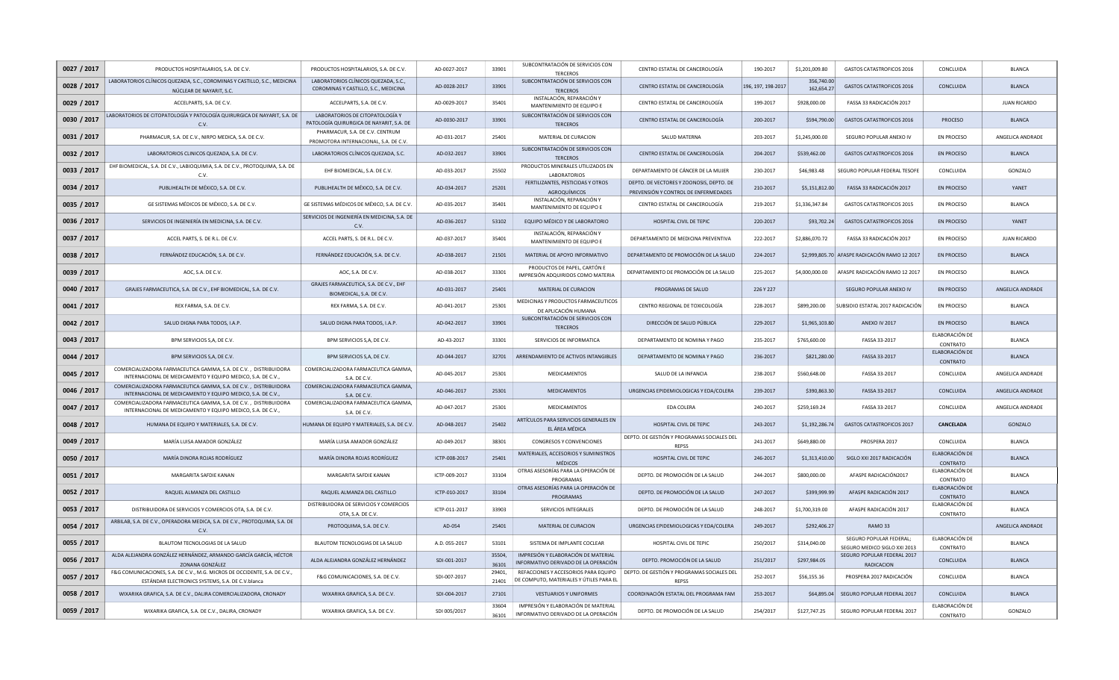| 0027 / 2017 | PRODUCTOS HOSPITALARIOS, S.A. DE C.V.                                                                                           | PRODUCTOS HOSPITALARIOS, S.A. DE C.V.                                        | AD-0027-2017  | 33901           | SUBCONTRATACIÓN DE SERVICIOS CON<br><b>TERCEROS</b>                             | CENTRO ESTATAL DE CANCEROLOGÍA                                                   | 190-2017           | \$1,201,009.80           | GASTOS CATASTROFICOS 2016                               | CONCLUIDA                  | <b>BLANCA</b>       |
|-------------|---------------------------------------------------------------------------------------------------------------------------------|------------------------------------------------------------------------------|---------------|-----------------|---------------------------------------------------------------------------------|----------------------------------------------------------------------------------|--------------------|--------------------------|---------------------------------------------------------|----------------------------|---------------------|
| 0028 / 2017 | LABORATORIOS CLÍNICOS QUEZADA, S.C., COROMINAS Y CASTILLO, S.C., MEDICINA<br>NÚCLEAR DE NAYARIT, S.C.                           | LABORATORIOS CLÍNICOS QUEZADA, S.C.,<br>COROMINAS Y CASTILLO, S.C., MEDICINA | AD-0028-2017  | 33901           | SUBCONTRATACIÓN DE SERVICIOS CON<br><b>TERCEROS</b>                             | CENTRO ESTATAL DE CANCEROLOGÍA                                                   | 196, 197, 198-2017 | 356,740.00<br>162.654.27 | <b>GASTOS CATASTROFICOS 2016</b>                        | CONCLUIDA                  | <b>BLANCA</b>       |
| 0029 / 2017 | ACCELPARTS, S.A. DE C.V.                                                                                                        | ACCELPARTS, S.A. DE C.V.                                                     | AD-0029-2017  | 35401           | INSTALACIÓN, REPARACIÓN Y<br>MANTENIMIENTO DE EQUIPO E                          | CENTRO ESTATAL DE CANCEROLOGÍA                                                   | 199-2017           | \$928,000.00             | FASSA 33 RADICACIÓN 2017                                |                            | <b>JUAN RICARDO</b> |
| 0030 / 2017 | LABORATORIOS DE CITOPATOLOGÍA Y PATOLOGÍA QUIRURGICA DE NAYARIT, S.A. DE<br>C.V.                                                | LABORATORIOS DE CITOPATOLOGÍA Y<br>PATOLOGÍA QUIRURGICA DE NAYARIT, S.A. DE  | AD-0030-2017  | 33901           | SUBCONTRATACIÓN DE SERVICIOS CON<br><b>TERCEROS</b>                             | CENTRO ESTATAL DE CANCEROLOGÍA                                                   | 200-2017           | \$594,790.00             | <b>GASTOS CATASTROFICOS 2016</b>                        | <b>PROCESO</b>             | <b>BLANCA</b>       |
| 0031 / 2017 | PHARMACUR, S.A. DE C.V., NIRPO MEDICA, S.A. DE C.V.                                                                             | PHARMACUR, S.A. DE C.V. CENTRUM<br>PROMOTORA INTERNACIONAL, S.A. DE C.V.     | AD-031-2017   | 25401           | MATERIAL DE CURACION                                                            | SALUD MATERNA                                                                    | 203-2017           | \$1,245,000.00           | SEGURO POPULAR ANEXO IV                                 | <b>EN PROCESO</b>          | ANGELICA ANDRADE    |
| 0032 / 2017 | LABORATORIOS CLINICOS QUEZADA, S.A. DE C.V.                                                                                     | LABORATORIOS CLÍNICOS QUEZADA, S.C.                                          | AD-032-2017   | 33901           | SUBCONTRATACIÓN DE SERVICIOS CON<br><b>TERCEROS</b>                             | CENTRO ESTATAL DE CANCEROLOGÍA                                                   | 204-2017           | \$539,462.00             | <b>GASTOS CATASTROFICOS 2016</b>                        | EN PROCESO                 | <b>BLANCA</b>       |
| 0033 / 2017 | EHF BIOMEDICAL, S.A. DE C.V., LABIOQUIMIA, S.A. DE C.V., PROTOQUIMA, S.A. DE<br>C.V                                             | EHF BIOMEDICAL, S.A. DE C.V.                                                 | AD-033-2017   | 25502           | PRODUCTOS MINERALES UTILIZADOS EN<br>LABORATORIOS                               | DEPARTAMENTO DE CÁNCER DE LA MUJER                                               | 230-2017           | \$46,983.48              | SEGURO POPULAR FEDERAL TESOFE                           | CONCLUIDA                  | GONZALO             |
| 0034 / 2017 | PUBLIHEALTH DE MÉXICO, S.A. DE C.V.                                                                                             | PUBLIHEALTH DE MÉXICO, S.A. DE C.V.                                          | AD-034-2017   | 25201           | FERTILIZANTES, PESTICIDAS Y OTROS<br>AGROQUÍMICOS                               | DEPTO. DE VECTORES Y ZOONOSIS, DEPTO. DE<br>PREVENSIÓN Y CONTROL DE ENFERMEDADES | 210-2017           | \$5,151,812.00           | <b>FASSA 33 RADICACIÓN 2017</b>                         | <b>EN PROCESO</b>          | YANET               |
| 0035 / 2017 | GE SISTEMAS MÉDICOS DE MÉXICO, S.A. DE C.V.                                                                                     | GE SISTEMAS MÉDICOS DE MÉXICO, S.A. DE C.V.                                  | AD-035-2017   | 35401           | INSTALACIÓN, REPARACIÓN Y<br>MANTENIMIENTO DE EQUIPO E                          | CENTRO ESTATAL DE CANCEROLOGÍA                                                   | 219-2017           | \$1,336,347.84           | <b>GASTOS CATASTROFICOS 2015</b>                        | <b>EN PROCESO</b>          | <b>BLANCA</b>       |
| 0036 / 2017 | SERVICIOS DE INGENIERÍA EN MEDICINA, S.A. DE C.V.                                                                               | SERVICIOS DE INGENIERÍA EN MEDICINA, S.A. DE<br>C.V                          | AD-036-2017   | 53102           | EQUIPO MÉDICO Y DE LABORATORIO                                                  | HOSPITAL CIVIL DE TEPIC                                                          | 220-2017           | \$93,702.24              | <b>GASTOS CATASTROFICOS 2016</b>                        | EN PROCESO                 | YANET               |
| 0037 / 2017 | ACCEL PARTS, S. DE R.L. DE C.V.                                                                                                 | ACCEL PARTS, S. DE R.L. DE C.V.                                              | AD-037-2017   | 35401           | INSTALACIÓN, REPARACIÓN Y<br>MANTENIMIENTO DE EQUIPO E                          | DEPARTAMENTO DE MEDICINA PREVENTIVA                                              | 222-2017           | \$2,886,070.72           | FASSA 33 RADICACIÓN 2017                                | <b>EN PROCESO</b>          | <b>JUAN RICARDO</b> |
| 0038 / 2017 | FERNÁNDEZ EDUCACIÓN, S.A. DE C.V.                                                                                               | FERNÁNDEZ EDUCACIÓN, S.A. DE C.V.                                            | AD-038-2017   | 21501           | MATERIAL DE APOYO INFORMATIVO                                                   | DEPARTAMENTO DE PROMOCIÓN DE LA SALUD                                            | 224-2017           |                          | \$2,999,805.70 AFASPE RADICACIÓN RAMO 12 2017           | EN PROCESO                 | <b>BLANCA</b>       |
| 0039 / 2017 | AOC, S.A. DE C.V.                                                                                                               | AOC, S.A. DE C.V.                                                            | AD-038-2017   | 33301           | PRODUCTOS DE PAPEL, CARTÓN E<br>IMPRESIÓN ADQUIRIDOS COMO MATERIA               | DEPARTAMENTO DE PROMOCIÓN DE LA SALUD                                            | 225-2017           | \$4,000,000,00           | AFASPE RADICACIÓN RAMO 12 2017                          | <b>EN PROCESO</b>          | <b>BLANCA</b>       |
| 0040 / 2017 | GRAJES FARMACEUTICA, S.A. DE C.V., EHF BIOMEDICAL, S.A. DE C.V.                                                                 | GRAJES FARMACEUTICA, S.A. DE C.V., EHF<br>BIOMEDICAL, S.A. DE C.V.           | AD-031-2017   | 25401           | MATERIAL DE CURACION                                                            | PROGRAMAS DE SALUD                                                               | 226 Y 227          |                          | SEGURO POPULAR ANEXO IV                                 | <b>EN PROCESO</b>          | ANGELICA ANDRADE    |
| 0041 / 2017 | REX FARMA, S.A. DE C.V.                                                                                                         | REX FARMA, S.A. DE C.V.                                                      | AD-041-2017   | 25301           | MEDICINAS Y PRODUCTOS FARMACEUTICOS<br>DE APLICACIÓN HUMANA                     | CENTRO REGIONAL DE TOXICOLOGÍA                                                   | 228-2017           | \$899,200.00             | SUBSIDIO ESTATAL 2017 RADICACIÓN                        | EN PROCESO                 | <b>BLANCA</b>       |
| 0042 / 2017 | SALUD DIGNA PARA TODOS, I.A.P.                                                                                                  | SALUD DIGNA PARA TODOS, I.A.P.                                               | AD-042-2017   | 33901           | SUBCONTRATACIÓN DE SERVICIOS CON<br><b>TERCEROS</b>                             | DIRECCIÓN DE SALUD PÚBLICA                                                       | 229-2017           | \$1,965,103.80           | <b>ANEXO IV 2017</b>                                    | EN PROCESO                 | <b>BLANCA</b>       |
| 0043 / 2017 | BPM SERVICIOS S,A, DE C.V.                                                                                                      | BPM SERVICIOS S,A, DE C.V.                                                   | AD-43-2017    | 33301           | SERVICIOS DE INFORMATICA                                                        | DEPARTAMENTO DE NOMINA Y PAGO                                                    | 235-2017           | \$765,600.00             | FASSA 33-2017                                           | ELABORACIÓN DE<br>CONTRATO | <b>BLANCA</b>       |
| 0044 / 2017 | BPM SERVICIOS S,A, DE C.V.                                                                                                      | BPM SERVICIOS S.A. DE C.V.                                                   | AD-044-2017   | 32701           | ARRENDAMIENTO DE ACTIVOS INTANGIBLES                                            | DEPARTAMENTO DE NOMINA Y PAGO                                                    | 236-2017           | \$821,280.00             | FASSA 33-2017                                           | ELABORACIÓN DE<br>CONTRATO | <b>BLANCA</b>       |
| 0045 / 2017 | COMERCIALIZADORA FARMACEUTICA GAMMA, S.A. DE C.V., DISTRIBUIDORA<br>INTERNACIONAL DE MEDICAMENTO Y EQUIPO MEDICO, S.A. DE C.V., | COMERCIALIZADORA FARMACEUTICA GAMMA,<br>S.A. DE C.V.                         | AD-045-2017   | 25301           | <b>MEDICAMENTOS</b>                                                             | SALUD DE LA INFANCIA                                                             | 238-2017           | \$560,648.00             | FASSA 33-2017                                           | CONCLUIDA                  | ANGELICA ANDRADE    |
| 0046 / 2017 | COMERCIALIZADORA FARMACEUTICA GAMMA, S.A. DE C.V., DISTRIBUIDORA<br>INTERNACIONAL DE MEDICAMENTO Y EQUIPO MEDICO, S.A. DE C.V., | COMERCIALIZADORA FARMACEUTICA GAMMA,<br>S.A. DE C.V.                         | AD-046-2017   | 25301           | <b>MEDICAMENTOS</b>                                                             | URGENCIAS EPIDEMIOLOGICAS Y EDA/COLERA                                           | 239-2017           | \$390,863,30             | FASSA 33-2017                                           | CONCLUIDA                  | ANGELICA ANDRADE    |
| 0047 / 2017 | COMERCIALIZADORA FARMACEUTICA GAMMA, S.A. DE C.V., DISTRIBUIDORA<br>INTERNACIONAL DE MEDICAMENTO Y EQUIPO MEDICO, S.A. DE C.V., | COMERCIALIZADORA FARMACEUTICA GAMMA,<br>S.A. DF C.V.                         | AD-047-2017   | 25301           | <b>MEDICAMENTOS</b>                                                             | EDA COLERA                                                                       | 240-2017           | \$259,169.24             | FASSA 33-2017                                           | CONCLUIDA                  | ANGELICA ANDRADE    |
| 0048 / 2017 | HUMANA DE EQUIPO Y MATERIALES, S.A. DE C.V.                                                                                     | HUMANA DE EQUIPO Y MATERIALES, S.A. DE C.V.                                  | AD-048-2017   | 25402           | ARTÍCULOS PARA SERVICIOS GENERALES EN<br>EL ÁREA MÉDICA                         | HOSPITAL CIVIL DE TEPIC                                                          | 243-2017           | \$1,192,286.74           | <b>GASTOS CATASTROFICOS 2017</b>                        | CANCELADA                  | GONZALO             |
| 0049 / 2017 | MARÍA LUISA AMADOR GONZÁLEZ                                                                                                     | MARÍA LUISA AMADOR GONZÁLEZ                                                  | AD-049-2017   | 38301           | <b>CONGRESOS Y CONVENCIONES</b>                                                 | DEPTO. DE GESTIÓN Y PROGRAMAS SOCIALES DEL<br>REPSS                              | 241-2017           | \$649,880.00             | PROSPERA 2017                                           | CONCLUIDA                  | <b>BLANCA</b>       |
| 0050 / 2017 | MARÍA DINORA ROJAS RODRÍGUEZ                                                                                                    | MARÍA DINORA ROJAS RODRÍGUEZ                                                 | ICTP-008-2017 | 25401           | MATERIALES, ACCESORIOS Y SUMINISTROS<br>MÉDICOS                                 | HOSPITAL CIVIL DE TEPIC                                                          | 246-2017           | \$1,313,410.00           | SIGLO XXI 2017 RADICACIÓN                               | ELABORACIÓN DE<br>CONTRATO | <b>BLANCA</b>       |
| 0051 / 2017 | MARGARITA SAFDIE KANAN                                                                                                          | MARGARITA SAFDIE KANAN                                                       | ICTP-009-2017 | 33104           | OTRAS ASESORÍAS PARA LA OPERACIÓN DE<br>PROGRAMAS                               | DEPTO. DE PROMOCIÓN DE LA SALUD                                                  | 244-2017           | \$800,000.00             | AFASPE RADICACIÓN2017                                   | ELABORACIÓN DE<br>CONTRATO | <b>BI ANCA</b>      |
| 0052 / 2017 | RAQUEL ALMANZA DEL CASTILLO                                                                                                     | RAQUEL ALMANZA DEL CASTILLO                                                  | ICTP-010-2017 | 33104           | OTRAS ASESORÍAS PARA LA OPERACIÓN DE<br>PROGRAMAS                               | DEPTO. DE PROMOCIÓN DE LA SALUD                                                  | 247-2017           | \$399,999.99             | AFASPE RADICACIÓN 2017                                  | ELABORACIÓN DE<br>CONTRATO | <b>BLANCA</b>       |
| 0053 / 2017 | DISTRIBUIDORA DE SERVICIOS Y COMERCIOS OTA, S.A. DE C.V.                                                                        | DISTRIBUIDORA DE SERVICIOS Y COMERCIOS<br>OTA, S.A. DE C.V.                  | ICTP-011-2017 | 33903           | SERVICIOS INTEGRALES                                                            | DEPTO. DE PROMOCIÓN DE LA SALUD                                                  | 248-2017           | \$1,700,319.00           | AFASPE RADICACIÓN 2017                                  | ELABORACIÓN DE<br>CONTRATO | <b>BLANCA</b>       |
| 0054 / 2017 | ARBILAB, S.A. DE C.V., OPERADORA MEDICA, S.A. DE C.V., PROTOQUIMA, S.A. DE<br>C.V.                                              | PROTOQUIMA, S.A. DE C.V.                                                     | AD-054        | 25401           | MATERIAL DE CURACION                                                            | URGENCIAS EPIDEMIOLOGICAS Y EDA/COLERA                                           | 249-2017           | \$292,406.27             | RAMO <sub>33</sub>                                      |                            | ANGELICA ANDRADE    |
| 0055 / 2017 | BLAUTOM TECNOLOGIAS DE LA SALUD                                                                                                 | BLAUTOM TECNOLOGIAS DE LA SALUD                                              | A.D. 055-2017 | 53101           | SISTEMA DE IMPLANTE COCLEAR                                                     | HOSPITAL CIVIL DE TEPIC                                                          | 250/2017           | \$314,040.00             | SEGURO POPULAR FEDERAL;<br>SEGURO MEDICO SIGLO XXI 2013 | ELABORACIÓN DE<br>CONTRATO | <b>BLANCA</b>       |
| 0056 / 2017 | ALDA ALEJANDRA GONZÁLEZ HERNÁNDEZ, ARMANDO GARCÍA GARCÍA, HÉCTOR<br>ZONANA GONZÁLEZ                                             | ALDA ALEJANDRA GONZÁLEZ HERNÁNDEZ                                            | SDI-001-2017  | 35504,<br>36101 | IMPRESIÓN Y ELABORACIÓN DE MATERIAL<br>INFORMATIVO DERIVADO DE LA OPERACIÓN     | DEPTO. PROMOCIÓN DE LA SALUD                                                     | 251/2017           | \$297,984.05             | SEGURO POPULAR FEDERAL 2017<br>RADICACION               | CONCLUIDA                  | <b>BLANCA</b>       |
| 0057 / 2017 | F&G COMUNICACIONES, S.A. DE C.V., M.G. MICROS DE OCCIDENTE, S.A. DE C.V.,<br>ESTÁNDAR ELECTRONICS SYSTEMS, S.A. DE C.V.blanca   | F&G COMUNICACIONES, S.A. DE C.V.                                             | SDI-007-2017  | 29401<br>21401  | REFACCIONES Y ACCESORIOS PARA EQUIPO<br>DE COMPUTO, MATERIALES Y ÚTILES PARA EL | DEPTO. DE GESTIÓN Y PROGRAMAS SOCIALES DEL<br><b>REPSS</b>                       | 252-2017           | \$56,155.16              | PROSPERA 2017 RADICACIÓN                                | CONCLUIDA                  | <b>BLANCA</b>       |
| 0058 / 2017 | WIXARIKA GRAFICA, S.A. DE C.V., DALIRA COMERCIALIZADORA, CRONADY                                                                | WIXARIKA GRAFICA, S.A. DE C.V.                                               | SDI-004-2017  | 27101           | <b>VESTUARIOS Y UNIFORMES</b>                                                   | COORDINACIÓN ESTATAL DEL PROGRAMA FAM                                            | 253-2017           | \$64,895.04              | SEGURO POPULAR FEDERAL 2017                             | <b>CONCLUIDA</b>           | <b>BLANCA</b>       |
| 0059 / 2017 | WIXARIKA GRAFICA, S.A. DE C.V., DALIRA, CRONADY                                                                                 | WIXARIKA GRAFICA, S.A. DE C.V.                                               | SDI 005/2017  | 33604<br>36101  | IMPRESIÓN Y ELABORACIÓN DE MATERIAL<br>INFORMATIVO DERIVADO DE LA OPERACIÓN     | DEPTO. DE PROMOCIÓN DE LA SALUD                                                  | 254/2017           | \$127,747.25             | SEGURO POPULAR FEDERAL 2017                             | ELABORACIÓN DE<br>CONTRATO | GONZALO             |